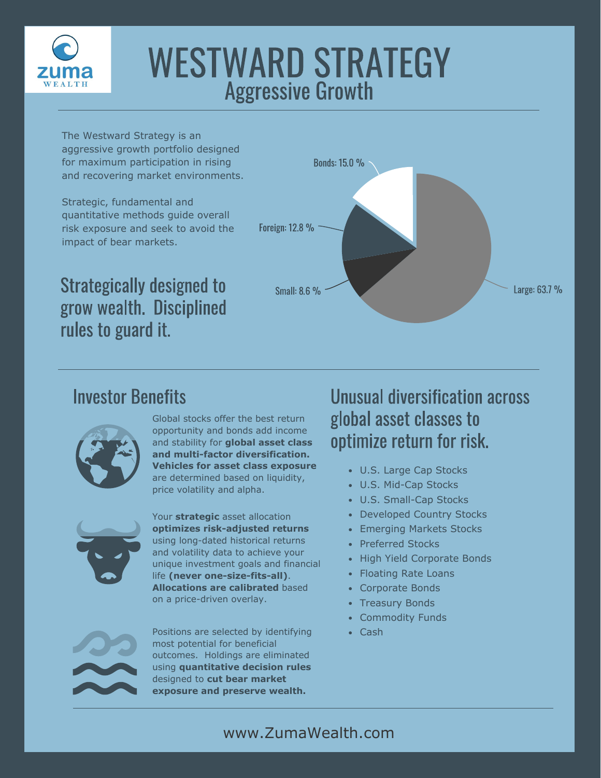

# WESTWARD STRATEGY Aggressive Growth

The Westward Strategy is an aggressive growth portfolio designed for maximum participation in rising and recovering market environments.

Strategic, fundamental and quantitative methods guide overall risk exposure and seek to avoid the impact of bear markets.



Strategically designed to grow wealth. Disciplined rules to guard it.

#### Investor Benefits



Global stocks offer the best return opportunity and bonds add income and stability for **global asset class and multi-factor diversification. Vehicles for asset class exposure**  are determined based on liquidity, price volatility and alpha.



Your **strategic** asset allocation **optimizes risk-adjusted returns**  using long-dated historical returns and volatility data to achieve your unique investment goals and financial life **(never one-size-fits-all)**. **Allocations are calibrated** based on a price-driven overlay.

Positions are selected by identifying • Cash most potential for beneficial outcomes. Holdings are eliminated using **quantitative decision rules**  designed to **cut bear market exposure and preserve wealth.**

#### Unusual diversification across global asset classes to optimize return for risk.

- U.S. Large Cap Stocks
- U.S. Mid-Cap Stocks
- U.S. Small-Cap Stocks
- Developed Country Stocks
- Emerging Markets Stocks
- Preferred Stocks
- High Yield Corporate Bonds
- Floating Rate Loans
- Corporate Bonds
- Treasury Bonds
- Commodity Funds
-